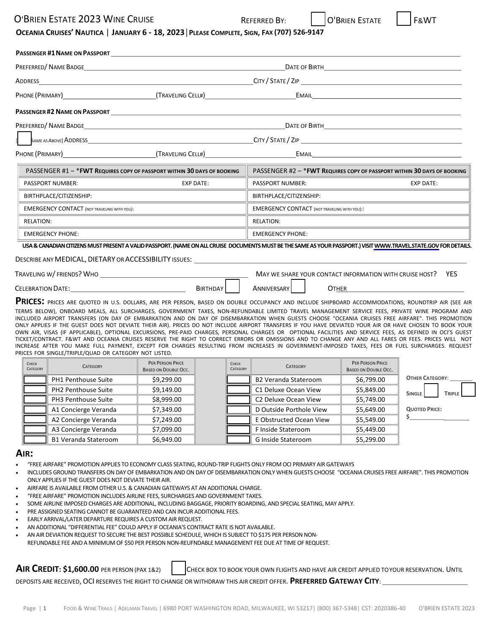## O'BRIEN ESTATE 2023 WINE CRUISE THE REFERRED BY: The CO'BRIEN ESTATE THE REVIT

## OCEANIA CRUISES' NAUTICA | JANUARY 6 - 18, 2023 | PLEASE COMPLETE, SIGN, FAX (707) 526-9147

|                                                    | <b>PASSENGER #1 NAME ON PASSPORT</b>                                                                                                                             |                                                     |                                                                                                                       |  |  |  |
|----------------------------------------------------|------------------------------------------------------------------------------------------------------------------------------------------------------------------|-----------------------------------------------------|-----------------------------------------------------------------------------------------------------------------------|--|--|--|
|                                                    |                                                                                                                                                                  |                                                     |                                                                                                                       |  |  |  |
|                                                    |                                                                                                                                                                  |                                                     |                                                                                                                       |  |  |  |
|                                                    |                                                                                                                                                                  |                                                     |                                                                                                                       |  |  |  |
|                                                    | PASSENGER #2 NAME ON PASSPORT AND THE SERVE THE STATE OF THE STATE OF THE STATE OF THE STATE OF THE STATE OF T                                                   |                                                     |                                                                                                                       |  |  |  |
|                                                    |                                                                                                                                                                  |                                                     |                                                                                                                       |  |  |  |
|                                                    |                                                                                                                                                                  |                                                     |                                                                                                                       |  |  |  |
|                                                    |                                                                                                                                                                  |                                                     |                                                                                                                       |  |  |  |
|                                                    | PASSENGER #1 - * FWT REQUIRES COPY OF PASSPORT WITHIN 30 DAYS OF BOOKING                                                                                         |                                                     | PASSENGER #2 - * FWT REQUIRES COPY OF PASSPORT WITHIN 30 DAYS OF BOOKING                                              |  |  |  |
| <b>PASSPORT NUMBER:</b>                            | <b>EXP DATE:</b>                                                                                                                                                 | PASSPORT NUMBER:                                    | <b>EXP DATE:</b>                                                                                                      |  |  |  |
| BIRTHPLACE/CITIZENSHIP:                            |                                                                                                                                                                  | BIRTHPLACE/CITIZENSHIP:                             |                                                                                                                       |  |  |  |
| <b>EMERGENCY CONTACT (NOT TRAVELING WITH YOU):</b> |                                                                                                                                                                  | <b>EMERGENCY CONTACT (NOT TRAVELING WITH YOU)::</b> |                                                                                                                       |  |  |  |
| RELATION:                                          |                                                                                                                                                                  | <b>RELATION:</b>                                    | <u> 1989 - Johann Harry Harry Harry Harry Harry Harry Harry Harry Harry Harry Harry Harry Harry Harry Harry Harry</u> |  |  |  |
| <b>EMERGENCY PHONE:</b>                            |                                                                                                                                                                  | <b>EMERGENCY PHONE:</b>                             |                                                                                                                       |  |  |  |
|                                                    | USA & CANADIAN CITIZENS MUST PRESENT A VALID PASSPORT. (NAME ON ALL CRUISE DOCUMENTS MUST BE THE SAME AS YOUR PASSPORT.) VISIT WWW.TRAVEL.STATE.GOV FOR DETAILS. |                                                     |                                                                                                                       |  |  |  |
|                                                    | DESCRIBE ANY MEDICAL, DIETARY OR ACCESSIBILITY ISSUES: THE STATE RESERVENT OF STATE RESERVENT ON A STATE RESER                                                   |                                                     |                                                                                                                       |  |  |  |

| TRAVELING W/ FRIENDS? WHO |                 | MAY WE SHARE YOUR CONTACT INFORMATION WITH CRUISE HOST? |       | YE: |
|---------------------------|-----------------|---------------------------------------------------------|-------|-----|
| <b>CELEBRATION DATE:</b>  | <b>BIRTHDAY</b> | ANNIVERSARY'                                            | Отнек |     |

**PRICES**: PRICES ARE QUOTED IN U.S. DOLLARS, ARE PER PERSON, BASED ON DOUBLE OCCUPANCY AND INCLUDE SHIPBOARD ACCOMMODATIONS, ROUNDTRIP AIR (SEE AIR TERMS BELOW), ONBOARD MEALS, ALL SURCHARGES, GOVERNMENT TAXES, NON-REFUNDABLE LIMITED TRAVEL MANAGEMENT SERVICE FEES, PRIVATE WINE PROGRAM AND INCLUDED AIRPORT TRANSFERS (ON DAY OF EMBARKATION AND ON DAY OF DISEMBARKATION WHEN GUESTS CHOOSE "OCEANIA CRUISES FREE AIRFARE". THIS PROMOTION ONLY APPLIES IF THE GUEST DOES NOT DEVIATE THEIR AIR). PRICES DO NOT INCLUDE AIRPORT TRANSFERS IF YOU HAVE DEVIATED YOUR AIR OR HAVE CHOSEN TO BOOK YOUR OWN AIR, VISAS (IF APPLICABLE), OPTIONAL EXCURSIONS, PRE-PAID CHARGES, PERSONAL CHARGES OR OPTIONAL FACILITIES AND SERVICE FEES, AS DEFINED IN OCI'S GUEST TICKET/CONTRACT. F&WT AND OCEANIA CRUISES RESERVE THE RIGHT TO CORRECT ERRORS OR OMISSIONS AND TO CHANGE ANY AND ALL FARES OR FEES. PRICES WILL NOT INCREASE AFTER YOU MAKE FULL PAYMENT, EXCEPT FOR CHARGES RESULTING FROM INCREASES IN GOVERNMENT-IMPOSED TAXES, FEES OR FUEL SURCHARGES. REQUEST PRICES FOR SINGLE/TRIPLE/QUAD OR CATEGORY NOT LISTED.

| CHECK<br>CATEGORY | <b>CATEGORY</b>             | <b>PER PERSON PRICE</b><br><b>BASED ON DOUBLE OCC.</b> | CHECK<br>CATEGORY | CATEGORY                    | PER PERSON PRICE<br>BASED ON DOUBLE OCC. |                                |
|-------------------|-----------------------------|--------------------------------------------------------|-------------------|-----------------------------|------------------------------------------|--------------------------------|
|                   | <b>PH1 Penthouse Suite</b>  | \$9,299.00                                             |                   | <b>B2 Veranda Stateroom</b> | \$6,799.00                               | <b>OTHER CATEGORY:</b>         |
|                   | PH2 Penthouse Suite         | \$9,149.00                                             |                   | C1 Deluxe Ocean View        | \$5,849.00                               | <b>SINGLE</b><br><b>TRIPLE</b> |
|                   | PH3 Penthouse Suite         | \$8,999.00                                             |                   | C2 Deluxe Ocean View        | \$5,749.00                               |                                |
|                   | A1 Concierge Veranda        | \$7,349.00                                             |                   | D Outside Porthole View     | \$5,649.00                               | <b>QUOTED PRICE:</b>           |
|                   | A2 Concierge Veranda        | \$7,249.00                                             |                   | E Obstructed Ocean View     | \$5,549.00                               |                                |
|                   | A3 Concierge Veranda        | \$7,099.00                                             |                   | F Inside Stateroom          | \$5,449.00                               |                                |
|                   | <b>B1 Veranda Stateroom</b> | \$6,949.00                                             |                   | G Inside Stateroom          | \$5,299.00                               |                                |

#### **AIR:**

- "FREE AIRFARE" PROMOTION APPLIES TO ECONOMY CLASS SEATING, ROUND-TRIP FLIGHTS ONLY FROM OCI PRIMARY AIR GATEWAYS
- INCLUDES GROUND TRANSFERS ON DAY OF EMBARKATION AND ON DAY OF DISEMBARKATION ONLY WHEN GUESTS CHOOSE "OCEANIA CRUISES FREE AIRFARE". THIS PROMOTION ONLY APPLIES IF THE GUEST DOES NOT DEVIATE THEIR AIR.
- AIRFARE IS AVAILABLE FROM OTHER U.S. & CANADIAN GATEWAYS AT AN ADDITIONAL CHARGE.
- "FREE AIRFARE" PROMOTION INCLUDES AIRLINE FEES, SURCHARGES AND GOVERNMENT TAXES.
- SOME AIRLINE IMPOSED CHARGES ARE ADDITIONAL, INCLUDING BAGGAGE, PRIORITY BOARDING, AND SPECIAL SEATING, MAY APPLY.
- PRE ASSIGNED SEATING CANNOT BE GUARANTEED AND CAN INCUR ADDITIONAL FEES.
- EARLY ARRIVAL/LATER DEPARTURE REQUIRES A CUSTOM AIR REQUEST.
- AN ADDITIONAL "DIFFERENTIAL FEE" COULD APPLY IF OCEANIA'S CONTRACT RATE IS NOT AVAILABLE.
- AN AIR DEVIATION REQUEST TO SECURE THE BEST POSSIBLE SCHEDULE, WHICH IS SUBJECT TO \$175 PER PERSON NON-

## REFUNDABLE FEE AND A MINIMUM OF \$50 PER PERSON NON-REUFNDABLE MANAGEMENT FEE DUE AT TIME OF REQUEST.

**AIR CREDIT: \$1,600.00** PER PERSON (PAX 1&2) CHECK BOX TO BOOK YOUR OWN FLIGHTS AND HAVE AIR CREDIT APPLIED TOYOUR RESERVATION. UNTIL

DEPOSITS ARE RECEIVED, OCI RESERVES THE RIGHT TO CHANGE OR WITHDRAW THIS AIR CREDIT OFFER. **PREFERRED GATEWAY CITY**: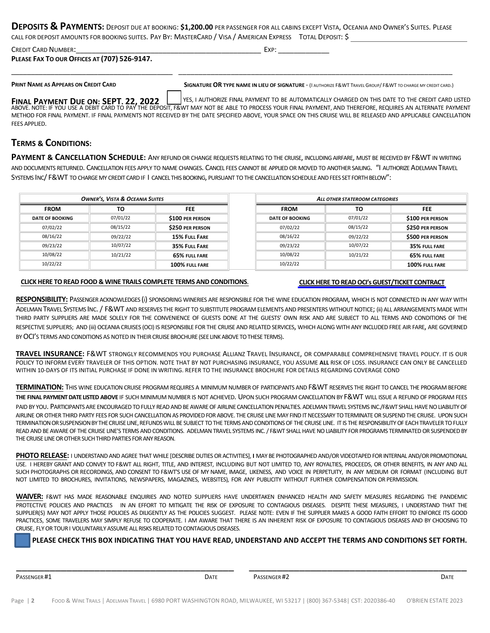**DEPOSITS & PAYMENTS:** DEPOSIT DUE AT BOOKING: **\$1,200.00** PER PASSENGER FOR ALL CABINS EXCEPT VISTA, OCEANIA AND OWNER'<sup>S</sup> SUITES. PLEASE CALL FOR DEPOSIT AMOUNTS FOR BOOKING SUITES. PAY BY: MASTERCARD / VISA / AMERICAN EXPRESS TOTAL DEPOSIT: \$

| <b>CREDIT CARD NUMBER:</b>                   | Exp: |  |
|----------------------------------------------|------|--|
| PLEASE FAX TO OUR OFFICES AT (707) 526-9147. |      |  |
|                                              |      |  |

PRINT NAME AS APPEARS ON CREDIT CARD SIGNATURE OR TYPE NAME IN LIEU OF SIGNATURE - (I AUTHORIZE F& WT TRAVEL GROUP/ F& WT TO CHARGE MY CREDIT CARD.)

FINAL PAYMENT DUE ON: SEPT. 22, 2022 USIS I AUTHORIZE FINAL PAYMENT TO BE AUTOMATICALLY CHARGED ON THIS DATE TO THE CREDIT CARD LISTED<br>ABOVE. NOTE: IF YOU USE A DEBIT CARD TO PAY THE DEPOSIT, F&WT MAY NOT BE ABLE TO PROCES METHOD FOR FINAL PAYMENT. IF FINAL PAYMENTS NOT RECEIVED BY THE DATE SPECIFIED ABOVE, YOUR SPACE ON THIS CRUISE WILL BE RELEASED AND APPLICABLE CANCELLATION

## **TERMS & CONDITIONS:**

FEES APPLIED.

**PAYMENT & CANCELLATION SCHEDULE:** ANY REFUND OR CHANGE REQUESTS RELATING TO THE CRUISE, INCLUDINGAIRFARE, MUST BE RECEIVED BY F&WT IN WRITING AND DOCUMENTS RETURNED. CANCELLATION FEES APPLY TO NAME CHANGES. CANCEL FEES CANNOT BE APPLIED OR MOVED TO ANOTHER SAILING. "I AUTHORIZEADELMAN TRAVEL SYSTEMS INC/ F&WT TO CHARGEMY CREDIT CARDIF I CANCELTHIS BOOKING, PURSUANT TO THE CANCELLATION SCHEDULEAND FEES SET FORTHBELOW":

| ALL OTHER STATEROOM CATEGORIES |  |  |
|--------------------------------|--|--|
| <b>FEE</b>                     |  |  |
| \$100 PER PERSON               |  |  |
| <b>\$250 PER PERSON</b>        |  |  |
| \$500 PER PERSON               |  |  |
| 35% FULL FARE                  |  |  |
| 65% FULL FARE                  |  |  |
| 100% FULL FARE                 |  |  |
|                                |  |  |

### **[CLICK HERE TO READ FOOD & WINE TRAILS COMPLETE TERMS AND CONDITIONS](https://www.foodandwinetrails.com/wp-content/uploads/2021/06/FWT-Oceania-Cruises-Terms-and-Conditions-for-2022-06.03.21.pdf)**.

#### **[CLICK HERE TO READ OCI's GUEST/TICKET CONTRACT](https://www.oceaniacruises.com/legal/ticket-contract/)**

**RESPONSIBILITY:** PASSENGER ACKNOWLEDGES (i) SPONSORING WINERIES ARE RESPONSIBLE FOR THE WINE EDUCATION PROGRAM, WHICH IS NOT CONNECTED IN ANY WAY WITH ADELMAN TRAVEL SYSTEMS INC. / F&WT AND RESERVES THE RIGHT TO SUBSTITUTE PROGRAM ELEMENTS AND PRESENTERS WITHOUT NOTICE; (ii) ALL ARRANGEMENTS MADE WITH THIRD PARTY SUPPLIERS ARE MADE SOLELY FOR THE CONVENIENCE OF GUESTS DONE AT THE GUESTS' OWN RISK AND ARE SUBJECT TO ALL TERMS AND CONDITIONS OF THE RESPECTIVE SUPPLIERS; AND (iii) OCEANIA CRUISES (OCI) IS RESPONSIBLE FOR THE CRUISE AND RELATED SERVICES, WHICH ALONG WITH ANY INCLUDED FREE AIR FARE, ARE GOVERNED BY OCI'S TERMS AND CONDITIONS AS NOTED IN THEIR CRUISE BROCHURE (SEE LINK ABOVE TO THESE TERMS).

**TRAVEL INSURANCE:** F&WT STRONGLY RECOMMENDS YOU PURCHASE ALLIANZ TRAVEL INSURANCE, OR COMPARABLE COMPREHENSIVE TRAVEL POLICY. IT IS OUR POLICY TO INFORM EVERY TRAVELER OF THIS OPTION. NOTE THAT BY NOT PURCHASING INSURANCE, YOU ASSUME **ALL** RISK OF LOSS. INSURANCE CAN ONLY BE CANCELLED WITHIN 10-DAYS OF ITS INITIAL PURCHASE IF DONE IN WRITING. REFER TO THE INSURANCE BROCHURE FOR DETAILS REGARDING COVERAGE COND

TERMINATION: THIS WINE EDUCATION CRUISE PROGRAM REQUIRES A MINIMUM NUMBER OF PARTICIPANTS AND F&WT RESERVES THE RIGHT TO CANCEL THE PROGRAM BEFORE **THE FINAL PAYMENT DATE LISTED ABOVE** IF SUCH MINIMUM NUMBER IS NOT ACHIEVED. UPON SUCH PROGRAM CANCELLATIONBY F&WT WILL ISSUE A REFUND OF PROGRAM FEES

PAID BY YOU. PARTICIPANTS ARE ENCOURAGED TO FULLY READ AND BE AWARE OF AIRLINE CANCELLATION PENALTIES. ADELMAN TRAVEL SYSTEMS INC./F&WT SHALL HAVE NO LIABILITY OF AIRLINE OR OTHER THIRD PARTY FEES FOR SUCH CANCELLATION AS PROVIDED FOR ABOVE. THE CRUISE LINE MAY FIND IT NECESSARY TO TERMINATE OR SUSPEND THE CRUISE. UPON SUCH TERMINATIONORSUSPENSIONBYTHECRUISELINE,REFUNDSWILL BE SUBJECT TO THE TERMS AND CONDITIONS OF THE CRUISE LINE. IT IS THE RESPONSIBILITY OF EACH TRAVELER TO FULLY READ AND BE AWARE OF THE CRUISE LINE'S TERMS AND CONDITIONS. ADELMAN TRAVEL SYSTEMS INC. / F&WT SHALL HAVE NO LIABILITY FOR PROGRAMS TERMINATED OR SUSPENDED BY THE CRUISE LINE OR OTHER SUCH THIRD PARTIES FOR ANY REASON.

**PHOTO RELEASE:** I UNDERSTAND AND AGREE THAT WHILE [DESCRIBE DUTIES OR ACTIVITIES], **I** MAY BE PHOTOGRAPHED AND/OR VIDEOTAPED FOR INTERNAL AND/OR PROMOTIONAL USE. I HEREBY GRANT AND CONVEY TO F&WT ALL RIGHT, TITLE, AND INTEREST, INCLUDING BUT NOT LIMITED TO, ANY ROYALTIES, PROCEEDS, OR OTHER BENEFITS, IN ANY AND ALL SUCH PHOTOGRAPHS OR RECORDINGS, AND CONSENT TO F&WT'S USE OF MY NAME, IMAGE, LIKENESS, AND VOICE IN PERPETUITY, IN ANY MEDIUM OR FORMAT (INCLUDING BUT NOT LIMITED TO BROCHURES, INVITATIONS, NEWSPAPERS, MAGAZINES, WEBSITES), FOR ANY PUBLICITY WITHOUT FURTHER COMPENSATION OR PERMISSION.

**WAIVER:** F&WT HAS MADE REASONABLE ENQUIRIES AND NOTED SUPPLIERS HAVE UNDERTAKEN ENHANCED HEALTH AND SAFETY MEASURES REGARDING THE PANDEMIC PROTECTIVE POLICIES AND PRACTICES IN AN EFFORT TO MITIGATE THE RISK OF EXPOSURE TO CONTAGIOUS DISEASES. DESPITE THESE MEASURES, I UNDERSTAND THAT THE SUPPLIER(S) MAY NOT APPLY THOSE POLICIES AS DILIGENTLY AS THE POLICIES SUGGEST. PLEASE NOTE: EVEN IF THE SUPPLIER MAKES A GOOD FAITH EFFORT TO ENFORCE ITS GOOD PRACTICES, SOME TRAVELERS MAY SIMPLY REFUSE TO COOPERATE. I AM AWARE THAT THERE IS AN INHERENT RISK OF EXPOSURE TO CONTAGIOUS DISEASES AND BY CHOOSING TO CRUISE, FLY OR TOUR I VOLUNTARILY ASSUME ALL RISKS RELATED TO CONTAGIOUS DISEASES.

### **PLEASE CHECK THIS BOX INDICATING THAT YOU HAVE READ, UNDERSTAND AND ACCEPT THE TERMS AND CONDITIONS SET FORTH.**

**PASSENGER #1 DATE** PASSENGER #2 **DATE PASSENGER #2 DATE PASSENGER #1 DATE** 

\_\_\_\_\_\_\_\_\_\_\_\_\_\_\_\_\_\_\_\_\_\_\_\_\_\_\_\_\_\_\_\_\_\_\_\_\_\_\_ \_\_\_\_\_\_\_\_\_\_\_\_\_\_\_\_\_\_\_\_\_\_\_\_\_\_\_\_\_\_\_\_\_\_\_\_\_\_\_